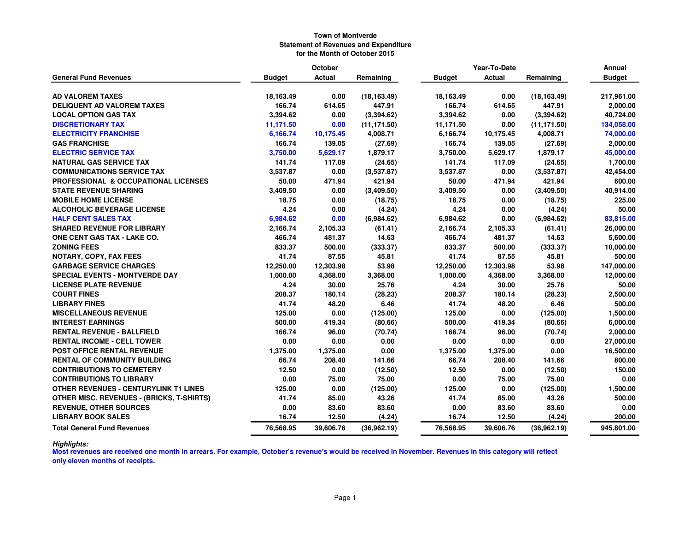|                                                  |               | October       |              |               | Year-To-Date  |              | Annual        |  |
|--------------------------------------------------|---------------|---------------|--------------|---------------|---------------|--------------|---------------|--|
| <b>General Fund Revenues</b>                     | <b>Budget</b> | <b>Actual</b> | Remaining    | <b>Budget</b> | <b>Actual</b> | Remaining    | <b>Budget</b> |  |
| <b>AD VALOREM TAXES</b>                          | 18,163.49     | 0.00          | (18, 163.49) | 18,163.49     | 0.00          | (18, 163.49) | 217,961.00    |  |
| <b>DELIQUENT AD VALOREM TAXES</b>                | 166.74        | 614.65        | 447.91       | 166.74        | 614.65        | 447.91       | 2,000.00      |  |
| <b>LOCAL OPTION GAS TAX</b>                      | 3,394.62      | 0.00          | (3, 394.62)  | 3,394.62      | 0.00          | (3,394.62)   | 40,724.00     |  |
| <b>DISCRETIONARY TAX</b>                         | 11,171.50     | 0.00          | (11, 171.50) | 11,171.50     | 0.00          | (11, 171.50) | 134,058.00    |  |
| <b>ELECTRICITY FRANCHISE</b>                     | 6,166.74      | 10,175.45     | 4,008.71     | 6,166.74      | 10,175.45     | 4,008.71     | 74,000.00     |  |
| <b>GAS FRANCHISE</b>                             | 166.74        | 139.05        | (27.69)      | 166.74        | 139.05        | (27.69)      | 2,000.00      |  |
| <b>ELECTRIC SERVICE TAX</b>                      | 3,750.00      | 5,629.17      | 1,879.17     | 3,750.00      | 5,629.17      | 1,879.17     | 45,000.00     |  |
| <b>NATURAL GAS SERVICE TAX</b>                   | 141.74        | 117.09        | (24.65)      | 141.74        | 117.09        | (24.65)      | 1,700.00      |  |
| <b>COMMUNICATIONS SERVICE TAX</b>                | 3,537.87      | 0.00          | (3,537.87)   | 3,537.87      | 0.00          | (3,537.87)   | 42,454.00     |  |
| <b>PROFESSIONAL &amp; OCCUPATIONAL LICENSES</b>  | 50.00         | 471.94        | 421.94       | 50.00         | 471.94        | 421.94       | 600.00        |  |
| <b>STATE REVENUE SHARING</b>                     | 3,409.50      | 0.00          | (3,409.50)   | 3,409.50      | 0.00          | (3,409.50)   | 40,914.00     |  |
| <b>MOBILE HOME LICENSE</b>                       | 18.75         | 0.00          | (18.75)      | 18.75         | 0.00          | (18.75)      | 225.00        |  |
| <b>ALCOHOLIC BEVERAGE LICENSE</b>                | 4.24          | 0.00          | (4.24)       | 4.24          | 0.00          | (4.24)       | 50.00         |  |
| <b>HALF CENT SALES TAX</b>                       | 6,984.62      | 0.00          | (6,984.62)   | 6,984.62      | 0.00          | (6,984.62)   | 83,815.00     |  |
| <b>SHARED REVENUE FOR LIBRARY</b>                | 2,166.74      | 2,105.33      | (61.41)      | 2,166.74      | 2,105.33      | (61.41)      | 26,000.00     |  |
| ONE CENT GAS TAX - LAKE CO.                      | 466.74        | 481.37        | 14.63        | 466.74        | 481.37        | 14.63        | 5,600.00      |  |
| <b>ZONING FEES</b>                               | 833.37        | 500.00        | (333.37)     | 833.37        | 500.00        | (333.37)     | 10,000.00     |  |
| NOTARY, COPY, FAX FEES                           | 41.74         | 87.55         | 45.81        | 41.74         | 87.55         | 45.81        | 500.00        |  |
| <b>GARBAGE SERVICE CHARGES</b>                   | 12,250.00     | 12,303.98     | 53.98        | 12,250.00     | 12,303.98     | 53.98        | 147,000.00    |  |
| <b>SPECIAL EVENTS - MONTVERDE DAY</b>            | 1,000.00      | 4,368.00      | 3,368.00     | 1,000.00      | 4,368.00      | 3,368.00     | 12,000.00     |  |
| <b>LICENSE PLATE REVENUE</b>                     | 4.24          | 30.00         | 25.76        | 4.24          | 30.00         | 25.76        | 50.00         |  |
| <b>COURT FINES</b>                               | 208.37        | 180.14        | (28.23)      | 208.37        | 180.14        | (28.23)      | 2,500.00      |  |
| <b>LIBRARY FINES</b>                             | 41.74         | 48.20         | 6.46         | 41.74         | 48.20         | 6.46         | 500.00        |  |
| <b>MISCELLANEOUS REVENUE</b>                     | 125.00        | 0.00          | (125.00)     | 125.00        | 0.00          | (125.00)     | 1,500.00      |  |
| <b>INTEREST EARNINGS</b>                         | 500.00        | 419.34        | (80.66)      | 500.00        | 419.34        | (80.66)      | 6,000.00      |  |
| <b>RENTAL REVENUE - BALLFIELD</b>                | 166.74        | 96.00         | (70.74)      | 166.74        | 96.00         | (70.74)      | 2,000.00      |  |
| <b>RENTAL INCOME - CELL TOWER</b>                | 0.00          | 0.00          | 0.00         | 0.00          | 0.00          | 0.00         | 27,000.00     |  |
| <b>POST OFFICE RENTAL REVENUE</b>                | 1,375.00      | 1,375.00      | 0.00         | 1,375.00      | 1,375.00      | 0.00         | 16,500.00     |  |
| <b>RENTAL OF COMMUNITY BUILDING</b>              | 66.74         | 208.40        | 141.66       | 66.74         | 208.40        | 141.66       | 800.00        |  |
| <b>CONTRIBUTIONS TO CEMETERY</b>                 | 12.50         | 0.00          | (12.50)      | 12.50         | 0.00          | (12.50)      | 150.00        |  |
| <b>CONTRIBUTIONS TO LIBRARY</b>                  | 0.00          | 75.00         | 75.00        | 0.00          | 75.00         | 75.00        | 0.00          |  |
| <b>OTHER REVENUES - CENTURYLINK T1 LINES</b>     | 125.00        | 0.00          | (125.00)     | 125.00        | 0.00          | (125.00)     | 1,500.00      |  |
| <b>OTHER MISC. REVENUES - (BRICKS, T-SHIRTS)</b> | 41.74         | 85.00         | 43.26        | 41.74         | 85.00         | 43.26        | 500.00        |  |
| <b>REVENUE, OTHER SOURCES</b>                    | 0.00          | 83.60         | 83.60        | 0.00          | 83.60         | 83.60        | 0.00          |  |
| <b>LIBRARY BOOK SALES</b>                        | 16.74         | 12.50         | (4.24)       | 16.74         | 12.50         | (4.24)       | 200.00        |  |
| <b>Total General Fund Revenues</b>               | 76,568.95     | 39,606.76     | (36,962.19)  | 76,568.95     | 39,606.76     | (36,962.19)  | 945,801.00    |  |

*Highlights:* **Most revenues are received one month in arrears. For example, October's revenue's would be received in November. Revenues in this category will reflect only eleven months of receipts.**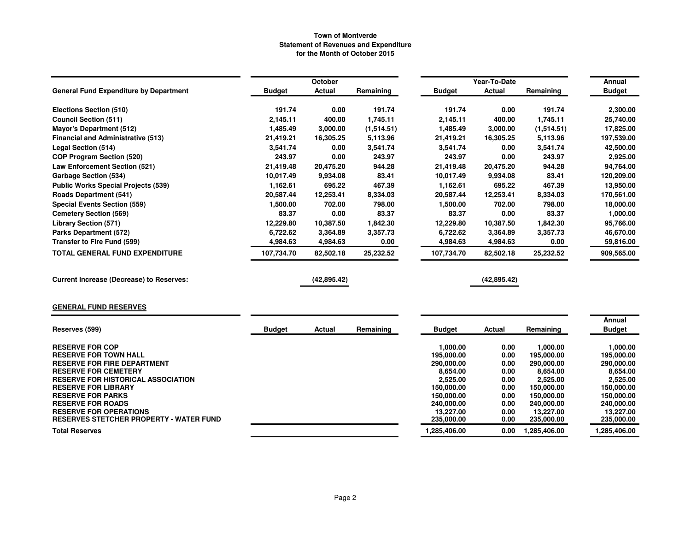|                                                                                 |               | October       |            |                         | Year-To-Date  |                         | <b>Annual</b>                  |
|---------------------------------------------------------------------------------|---------------|---------------|------------|-------------------------|---------------|-------------------------|--------------------------------|
| <b>General Fund Expenditure by Department</b>                                   | <b>Budget</b> | Actual        | Remaining  | <b>Budget</b>           | <b>Actual</b> | Remaining               | <b>Budget</b>                  |
| Elections Section (510)                                                         | 191.74        | 0.00          | 191.74     | 191.74                  | 0.00          | 191.74                  | 2,300.00                       |
| <b>Council Section (511)</b>                                                    | 2,145.11      | 400.00        | 1,745.11   | 2,145.11                | 400.00        | 1,745.11                | 25,740.00                      |
| <b>Mayor's Department (512)</b>                                                 | 1,485.49      | 3,000.00      | (1,514.51) | 1,485.49                | 3,000.00      | (1,514.51)              | 17,825.00                      |
| <b>Financial and Administrative (513)</b>                                       | 21,419.21     | 16,305.25     | 5,113.96   | 21,419.21               | 16,305.25     | 5,113.96                | 197,539.00                     |
| Legal Section (514)                                                             | 3,541.74      | 0.00          | 3,541.74   | 3,541.74                | 0.00          | 3,541.74                | 42,500.00                      |
| <b>COP Program Section (520)</b>                                                | 243.97        | 0.00          | 243.97     | 243.97                  | 0.00          | 243.97                  | 2,925.00                       |
| <b>Law Enforcement Section (521)</b>                                            | 21,419.48     | 20,475.20     | 944.28     | 21,419.48               | 20,475.20     | 944.28                  | 94,764.00                      |
| <b>Garbage Section (534)</b>                                                    | 10,017.49     | 9,934.08      | 83.41      | 10,017.49               | 9,934.08      | 83.41                   | 120,209.00                     |
| <b>Public Works Special Projects (539)</b>                                      | 1,162.61      | 695.22        | 467.39     | 1,162.61                | 695.22        | 467.39                  | 13,950.00                      |
| <b>Roads Department (541)</b>                                                   | 20,587.44     | 12,253.41     | 8,334.03   | 20,587.44               | 12,253.41     | 8,334.03                | 170,561.00                     |
| <b>Special Events Section (559)</b>                                             | 1,500.00      | 702.00        | 798.00     | 1,500.00                | 702.00        | 798.00                  | 18,000.00                      |
| <b>Cemetery Section (569)</b>                                                   | 83.37         | 0.00          | 83.37      | 83.37                   | 0.00          | 83.37                   | 1,000.00                       |
| <b>Library Section (571)</b>                                                    | 12,229.80     | 10,387.50     | 1,842.30   | 12,229.80               | 10,387.50     | 1,842.30                | 95,766.00                      |
| <b>Parks Department (572)</b>                                                   | 6,722.62      | 3,364.89      | 3,357.73   | 6,722.62                | 3,364.89      | 3,357.73                | 46,670.00                      |
| Transfer to Fire Fund (599)                                                     | 4,984.63      | 4,984.63      | 0.00       | 4,984.63                | 4,984.63      | 0.00                    | 59,816.00                      |
| TOTAL GENERAL FUND EXPENDITURE                                                  | 107,734.70    | 82,502.18     | 25,232.52  | 107,734.70              | 82,502.18     | 25,232.52               | 909,565.00                     |
| <b>Current Increase (Decrease) to Reserves:</b>                                 |               | (42,895.42)   |            |                         | (42,895.42)   |                         |                                |
| <b>GENERAL FUND RESERVES</b>                                                    |               |               |            |                         |               |                         |                                |
| Reserves (599)                                                                  | <b>Budget</b> | <b>Actual</b> | Remaining  | <b>Budget</b>           | <b>Actual</b> | Remaining               | <b>Annual</b><br><b>Budget</b> |
| <b>RESERVE FOR COP</b>                                                          |               |               |            | 1,000.00                | 0.00          | 1,000.00                | 1.000.00                       |
| <b>RESERVE FOR TOWN HALL</b>                                                    |               |               |            | 195,000.00              | 0.00          | 195,000.00              | 195,000.00                     |
| <b>RESERVE FOR FIRE DEPARTMENT</b>                                              |               |               |            | 290,000.00              | 0.00          | 290,000.00              | 290,000.00                     |
| <b>RESERVE FOR CEMETERY</b>                                                     |               |               |            | 8,654.00                | 0.00          | 8,654.00                | 8,654.00                       |
| <b>RESERVE FOR HISTORICAL ASSOCIATION</b>                                       |               |               |            | 2,525.00                | 0.00          | 2,525.00                | 2,525.00                       |
| <b>RESERVE FOR LIBRARY</b>                                                      |               |               |            | 150,000.00              | 0.00          | 150,000.00              | 150,000.00                     |
| <b>RESERVE FOR PARKS</b>                                                        |               |               |            | 150,000.00              | 0.00          | 150,000.00              | 150,000.00                     |
| <b>RESERVE FOR ROADS</b>                                                        |               |               |            | 240,000.00              | 0.00          | 240,000.00              | 240,000.00                     |
| <b>RESERVE FOR OPERATIONS</b><br><b>RESERVES STETCHER PROPERTY - WATER FUND</b> |               |               |            | 13,227.00<br>235,000.00 | 0.00<br>0.00  | 13,227.00<br>235,000.00 | 13,227.00<br>235,000.00        |
| <b>Total Reserves</b>                                                           |               |               |            | 1,285,406.00            | 0.00          | 1,285,406.00            | 1,285,406.00                   |
|                                                                                 |               |               |            |                         |               |                         |                                |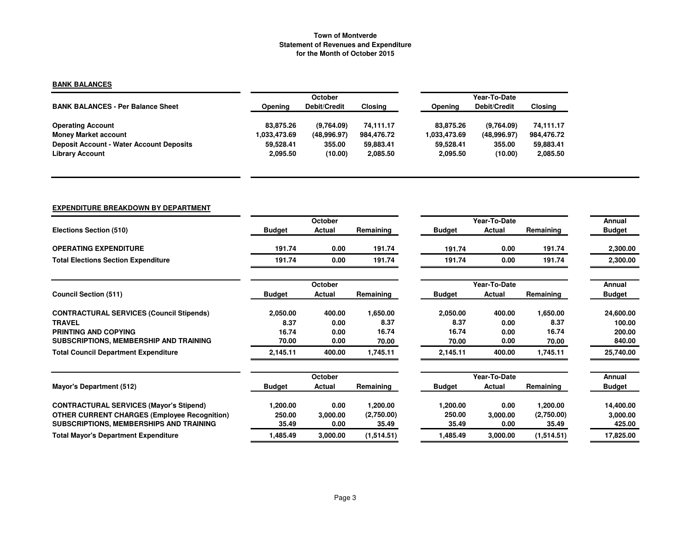# **BANK BALANCES**

|                                                 |              | <b>October</b> |            |                | Year-To-Date |            |  |  |  |
|-------------------------------------------------|--------------|----------------|------------|----------------|--------------|------------|--|--|--|
| <b>BANK BALANCES - Per Balance Sheet</b>        | Opening      | Debit/Credit   | Closing    | <b>Opening</b> | Debit/Credit | Closing    |  |  |  |
| <b>Operating Account</b>                        | 83.875.26    | (9.764.09)     | 74.111.17  | 83.875.26      | (9.764.09)   | 74,111.17  |  |  |  |
| <b>Money Market account</b>                     | 1.033.473.69 | (48,996.97)    | 984.476.72 | 1,033,473.69   | (48,996.97)  | 984,476.72 |  |  |  |
| <b>Deposit Account - Water Account Deposits</b> | 59.528.41    | 355.00         | 59.883.41  | 59.528.41      | 355.00       | 59,883.41  |  |  |  |
| <b>Library Account</b>                          | 2,095.50     | (10.00)        | 2,085.50   | 2.095.50       | (10.00)      | 2,085.50   |  |  |  |

#### **EXPENDITURE BREAKDOWN BY DEPARTMENT**

|                                                     |               | October  |            |               | Year-To-Date |            | Annual        |
|-----------------------------------------------------|---------------|----------|------------|---------------|--------------|------------|---------------|
| <b>Elections Section (510)</b>                      | <b>Budget</b> | Actual   | Remaining  | <b>Budget</b> | Actual       | Remaining  | <b>Budget</b> |
| <b>OPERATING EXPENDITURE</b>                        | 191.74        | 0.00     | 191.74     | 191.74        | 0.00         | 191.74     | 2,300.00      |
| <b>Total Elections Section Expenditure</b>          | 191.74        | 0.00     | 191.74     | 191.74        | 0.00         | 191.74     | 2,300.00      |
|                                                     |               | October  |            |               | Year-To-Date |            | Annual        |
| <b>Council Section (511)</b>                        | <b>Budget</b> | Actual   | Remaining  | <b>Budget</b> | Actual       | Remaining  | <b>Budget</b> |
| <b>CONTRACTURAL SERVICES (Council Stipends)</b>     | 2,050.00      | 400.00   | 1,650.00   | 2,050.00      | 400.00       | 1,650.00   | 24,600.00     |
| <b>TRAVEL</b>                                       | 8.37          | 0.00     | 8.37       | 8.37          | 0.00         | 8.37       | 100.00        |
| <b>PRINTING AND COPYING</b>                         | 16.74         | 0.00     | 16.74      | 16.74         | 0.00         | 16.74      | 200.00        |
| SUBSCRIPTIONS, MEMBERSHIP AND TRAINING              | 70.00         | 0.00     | 70.00      | 70.00         | 0.00         | 70.00      | 840.00        |
| <b>Total Council Department Expenditure</b>         | 2,145.11      | 400.00   | 1,745.11   | 2,145.11      | 400.00       | 1,745.11   | 25,740.00     |
|                                                     |               | October  |            |               | Year-To-Date |            | Annual        |
| <b>Mayor's Department (512)</b>                     | <b>Budget</b> | Actual   | Remaining  | <b>Budget</b> | Actual       | Remaining  | <b>Budget</b> |
| <b>CONTRACTURAL SERVICES (Mayor's Stipend)</b>      | 1,200.00      | 0.00     | 1,200.00   | 1,200.00      | 0.00         | 1,200.00   | 14,400.00     |
| <b>OTHER CURRENT CHARGES (Employee Recognition)</b> | 250.00        | 3,000.00 | (2,750.00) | 250.00        | 3,000.00     | (2,750.00) | 3,000.00      |
| SUBSCRIPTIONS, MEMBERSHIPS AND TRAINING             | 35.49         | 0.00     | 35.49      | 35.49         | 0.00         | 35.49      | 425.00        |
| <b>Total Mayor's Department Expenditure</b>         | 1,485.49      | 3,000.00 | (1,514.51) | 1,485.49      | 3,000.00     | (1,514.51) | 17,825.00     |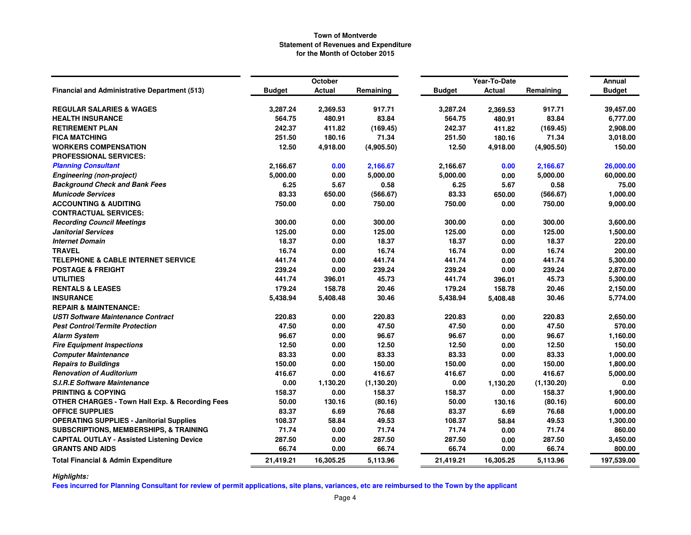|                                                            |               | October   |             |               | Year-To-Date  |             | Annual        |
|------------------------------------------------------------|---------------|-----------|-------------|---------------|---------------|-------------|---------------|
| <b>Financial and Administrative Department (513)</b>       | <b>Budget</b> | Actual    | Remaining   | <b>Budget</b> | <b>Actual</b> | Remaining   | <b>Budget</b> |
| <b>REGULAR SALARIES &amp; WAGES</b>                        | 3,287.24      | 2,369.53  | 917.71      | 3,287.24      | 2,369.53      | 917.71      | 39,457.00     |
| <b>HEALTH INSURANCE</b>                                    | 564.75        | 480.91    | 83.84       | 564.75        | 480.91        | 83.84       | 6,777.00      |
| <b>RETIREMENT PLAN</b>                                     | 242.37        | 411.82    | (169.45)    | 242.37        | 411.82        | (169.45)    | 2,908.00      |
| <b>FICA MATCHING</b>                                       | 251.50        | 180.16    | 71.34       | 251.50        | 180.16        | 71.34       | 3,018.00      |
| <b>WORKERS COMPENSATION</b>                                | 12.50         | 4,918.00  | (4,905.50)  | 12.50         | 4,918.00      | (4,905.50)  | 150.00        |
| <b>PROFESSIONAL SERVICES:</b>                              |               |           |             |               |               |             |               |
| <b>Planning Consultant</b>                                 | 2,166.67      | 0.00      | 2,166.67    | 2,166.67      | 0.00          | 2,166.67    | 26,000.00     |
| <b>Engineering (non-project)</b>                           | 5,000.00      | 0.00      | 5,000.00    | 5,000.00      | 0.00          | 5,000.00    | 60,000.00     |
| <b>Background Check and Bank Fees</b>                      | 6.25          | 5.67      | 0.58        | 6.25          | 5.67          | 0.58        | 75.00         |
| <b>Municode Services</b>                                   | 83.33         | 650.00    | (566.67)    | 83.33         | 650.00        | (566.67)    | 1,000.00      |
| <b>ACCOUNTING &amp; AUDITING</b>                           | 750.00        | 0.00      | 750.00      | 750.00        | 0.00          | 750.00      | 9,000.00      |
| <b>CONTRACTUAL SERVICES:</b>                               |               |           |             |               |               |             |               |
| <b>Recording Council Meetings</b>                          | 300.00        | 0.00      | 300.00      | 300.00        | 0.00          | 300.00      | 3,600.00      |
| <b>Janitorial Services</b>                                 | 125.00        | 0.00      | 125.00      | 125.00        | 0.00          | 125.00      | 1,500.00      |
| <b>Internet Domain</b>                                     | 18.37         | 0.00      | 18.37       | 18.37         | 0.00          | 18.37       | 220.00        |
| <b>TRAVEL</b>                                              | 16.74         | 0.00      | 16.74       | 16.74         | 0.00          | 16.74       | 200.00        |
| <b>TELEPHONE &amp; CABLE INTERNET SERVICE</b>              | 441.74        | 0.00      | 441.74      | 441.74        | 0.00          | 441.74      | 5,300.00      |
| <b>POSTAGE &amp; FREIGHT</b>                               | 239.24        | 0.00      | 239.24      | 239.24        | 0.00          | 239.24      | 2,870.00      |
| <b>UTILITIES</b>                                           | 441.74        | 396.01    | 45.73       | 441.74        | 396.01        | 45.73       | 5,300.00      |
| <b>RENTALS &amp; LEASES</b>                                | 179.24        | 158.78    | 20.46       | 179.24        | 158.78        | 20.46       | 2,150.00      |
| <b>INSURANCE</b>                                           | 5,438.94      | 5,408.48  | 30.46       | 5,438.94      | 5,408.48      | 30.46       | 5,774.00      |
| <b>REPAIR &amp; MAINTENANCE:</b>                           |               |           |             |               |               |             |               |
| USTI Software Maintenance Contract                         | 220.83        | 0.00      | 220.83      | 220.83        | 0.00          | 220.83      | 2,650.00      |
| <b>Pest Control/Termite Protection</b>                     | 47.50         | 0.00      | 47.50       | 47.50         | 0.00          | 47.50       | 570.00        |
| <b>Alarm System</b>                                        | 96.67         | 0.00      | 96.67       | 96.67         | 0.00          | 96.67       | 1,160.00      |
| <b>Fire Equipment Inspections</b>                          | 12.50         | 0.00      | 12.50       | 12.50         | 0.00          | 12.50       | 150.00        |
| <b>Computer Maintenance</b>                                | 83.33         | 0.00      | 83.33       | 83.33         | 0.00          | 83.33       | 1,000.00      |
| <b>Repairs to Buildings</b>                                | 150.00        | 0.00      | 150.00      | 150.00        | 0.00          | 150.00      | 1,800.00      |
| <b>Renovation of Auditorium</b>                            | 416.67        | 0.00      | 416.67      | 416.67        | 0.00          | 416.67      | 5,000.00      |
| <b>S.I.R.E Software Maintenance</b>                        | 0.00          | 1,130.20  | (1, 130.20) | 0.00          | 1,130.20      | (1, 130.20) | 0.00          |
| <b>PRINTING &amp; COPYING</b>                              | 158.37        | 0.00      | 158.37      | 158.37        | 0.00          | 158.37      | 1,900.00      |
| <b>OTHER CHARGES - Town Hall Exp. &amp; Recording Fees</b> | 50.00         | 130.16    | (80.16)     | 50.00         | 130.16        | (80.16)     | 600.00        |
| <b>OFFICE SUPPLIES</b>                                     | 83.37         | 6.69      | 76.68       | 83.37         | 6.69          | 76.68       | 1,000.00      |
| <b>OPERATING SUPPLIES - Janitorial Supplies</b>            | 108.37        | 58.84     | 49.53       | 108.37        | 58.84         | 49.53       | 1,300.00      |
| <b>SUBSCRIPTIONS, MEMBERSHIPS, &amp; TRAINING</b>          | 71.74         | 0.00      | 71.74       | 71.74         | 0.00          | 71.74       | 860.00        |
| <b>CAPITAL OUTLAY - Assisted Listening Device</b>          | 287.50        | 0.00      | 287.50      | 287.50        | 0.00          | 287.50      | 3,450.00      |
| <b>GRANTS AND AIDS</b>                                     | 66.74         | 0.00      | 66.74       | 66.74         | 0.00          | 66.74       | 800.00        |
| <b>Total Financial &amp; Admin Expenditure</b>             | 21,419.21     | 16,305.25 | 5,113.96    | 21,419.21     | 16,305.25     | 5,113.96    | 197,539.00    |

# *Highlights:*

**Fees incurred for Planning Consultant for review of permit applications, site plans, variances, etc are reimbursed to the Town by the applicant**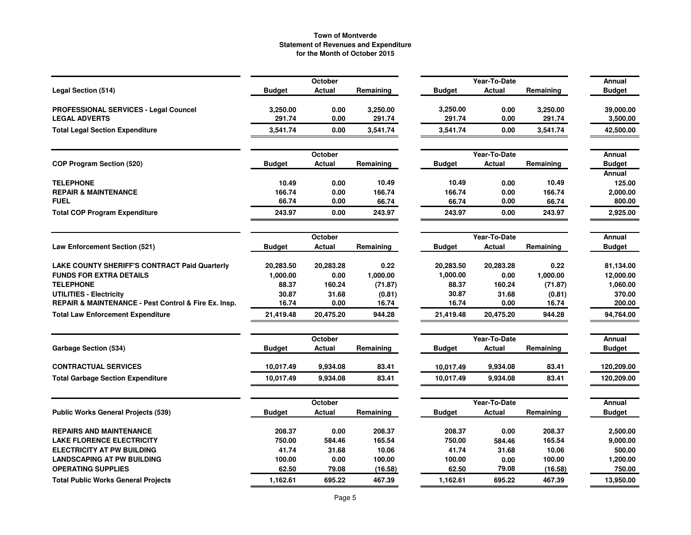|                                                      |               | October       |           |               | Year-To-Date |           | Annual                  |
|------------------------------------------------------|---------------|---------------|-----------|---------------|--------------|-----------|-------------------------|
| <b>Legal Section (514)</b>                           | <b>Budget</b> | <b>Actual</b> | Remaining | <b>Budget</b> | Actual       | Remaining | <b>Budget</b>           |
| <b>PROFESSIONAL SERVICES - Legal Councel</b>         | 3,250.00      | 0.00          | 3,250.00  | 3,250.00      | 0.00         | 3,250.00  | 39,000.00               |
| <b>LEGAL ADVERTS</b>                                 | 291.74        | 0.00          | 291.74    | 291.74        | 0.00         | 291.74    | 3,500.00                |
| <b>Total Legal Section Expenditure</b>               | 3,541.74      | 0.00          | 3,541.74  | 3,541.74      | 0.00         | 3,541.74  | 42,500.00               |
|                                                      |               | October       |           |               | Year-To-Date |           | Annual                  |
| <b>COP Program Section (520)</b>                     | <b>Budget</b> | Actual        | Remaining | <b>Budget</b> | Actual       | Remaining | <b>Budget</b><br>Annual |
| <b>TELEPHONE</b>                                     | 10.49         | 0.00          | 10.49     | 10.49         | 0.00         | 10.49     | 125.00                  |
| <b>REPAIR &amp; MAINTENANCE</b>                      | 166.74        | 0.00          | 166.74    | 166.74        | 0.00         | 166.74    | 2,000.00                |
| <b>FUEL</b>                                          | 66.74         | 0.00          | 66.74     | 66.74         | 0.00         | 66.74     | 800.00                  |
| <b>Total COP Program Expenditure</b>                 | 243.97        | 0.00          | 243.97    | 243.97        | 0.00         | 243.97    | 2,925.00                |
|                                                      |               | October       |           |               | Year-To-Date |           | Annual                  |
| <b>Law Enforcement Section (521)</b>                 | <b>Budget</b> | Actual        | Remaining | <b>Budget</b> | Actual       | Remaining | <b>Budget</b>           |
| <b>LAKE COUNTY SHERIFF'S CONTRACT Paid Quarterly</b> | 20,283.50     | 20,283.28     | 0.22      | 20,283.50     | 20,283.28    | 0.22      | 81,134.00               |
| <b>FUNDS FOR EXTRA DETAILS</b>                       | 1,000.00      | 0.00          | 1,000.00  | 1,000.00      | 0.00         | 1,000.00  | 12,000.00               |
| <b>TELEPHONE</b>                                     | 88.37         | 160.24        | (71.87)   | 88.37         | 160.24       | (71.87)   | 1,060.00                |
| UTILITIES - Electricity                              | 30.87         | 31.68         | (0.81)    | 30.87         | 31.68        | (0.81)    | 370.00                  |
| REPAIR & MAINTENANCE - Pest Control & Fire Ex. Insp. | 16.74         | 0.00          | 16.74     | 16.74         | 0.00         | 16.74     | 200.00                  |
| <b>Total Law Enforcement Expenditure</b>             | 21,419.48     | 20,475.20     | 944.28    | 21,419.48     | 20,475.20    | 944.28    | 94,764.00               |
|                                                      |               | October       |           |               | Year-To-Date |           | Annual                  |
| <b>Garbage Section (534)</b>                         | <b>Budget</b> | <b>Actual</b> | Remaining | <b>Budget</b> | Actual       | Remaining | <b>Budget</b>           |
| <b>CONTRACTUAL SERVICES</b>                          | 10,017.49     | 9,934.08      | 83.41     | 10,017.49     | 9,934.08     | 83.41     | 120,209.00              |
| <b>Total Garbage Section Expenditure</b>             | 10,017.49     | 9,934.08      | 83.41     | 10,017.49     | 9,934.08     | 83.41     | 120,209.00              |
|                                                      |               | October       |           |               | Year-To-Date |           | Annual                  |
| <b>Public Works General Projects (539)</b>           | <b>Budget</b> | Actual        | Remaining | <b>Budget</b> | Actual       | Remaining | <b>Budget</b>           |
| <b>REPAIRS AND MAINTENANCE</b>                       | 208.37        | 0.00          | 208.37    | 208.37        | 0.00         | 208.37    | 2,500.00                |
| <b>LAKE FLORENCE ELECTRICITY</b>                     | 750.00        | 584.46        | 165.54    | 750.00        | 584.46       | 165.54    | 9,000.00                |
| <b>ELECTRICITY AT PW BUILDING</b>                    | 41.74         | 31.68         | 10.06     | 41.74         | 31.68        | 10.06     | 500.00                  |
| <b>LANDSCAPING AT PW BUILDING</b>                    | 100.00        | 0.00          | 100.00    | 100.00        | 0.00         | 100.00    | 1,200.00                |
| <b>OPERATING SUPPLIES</b>                            | 62.50         | 79.08         | (16.58)   | 62.50         | 79.08        | (16.58)   | 750.00                  |
| <b>Total Public Works General Projects</b>           | 1,162.61      | 695.22        | 467.39    | 1,162.61      | 695.22       | 467.39    | 13,950.00               |
|                                                      |               |               |           |               |              |           |                         |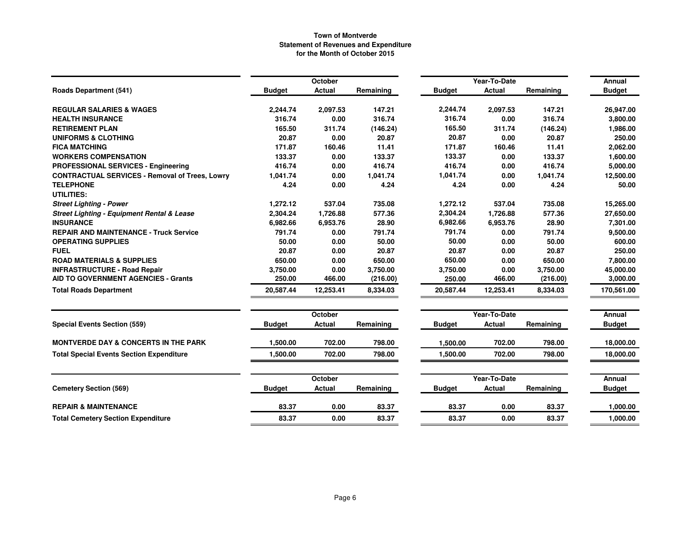|                                                       |               | October        |           |               | Year-To-Date  |           | Annual        |
|-------------------------------------------------------|---------------|----------------|-----------|---------------|---------------|-----------|---------------|
| <b>Roads Department (541)</b>                         | <b>Budget</b> | <b>Actual</b>  | Remaining | <b>Budget</b> | <b>Actual</b> | Remaining | <b>Budget</b> |
| <b>REGULAR SALARIES &amp; WAGES</b>                   | 2,244.74      | 2,097.53       | 147.21    | 2,244.74      | 2,097.53      | 147.21    | 26,947.00     |
| <b>HEALTH INSURANCE</b>                               | 316.74        | 0.00           | 316.74    | 316.74        | 0.00          | 316.74    | 3,800.00      |
| <b>RETIREMENT PLAN</b>                                | 165.50        | 311.74         | (146.24)  | 165.50        | 311.74        | (146.24)  | 1,986.00      |
| <b>UNIFORMS &amp; CLOTHING</b>                        | 20.87         | 0.00           | 20.87     | 20.87         | 0.00          | 20.87     | 250.00        |
| <b>FICA MATCHING</b>                                  | 171.87        | 160.46         | 11.41     | 171.87        | 160.46        | 11.41     | 2,062.00      |
| <b>WORKERS COMPENSATION</b>                           | 133.37        | 0.00           | 133.37    | 133.37        | 0.00          | 133.37    | 1,600.00      |
| <b>PROFESSIONAL SERVICES - Engineering</b>            | 416.74        | 0.00           | 416.74    | 416.74        | 0.00          | 416.74    | 5,000.00      |
| <b>CONTRACTUAL SERVICES - Removal of Trees, Lowry</b> | 1,041.74      | 0.00           | 1,041.74  | 1,041.74      | 0.00          | 1,041.74  | 12,500.00     |
| <b>TELEPHONE</b>                                      | 4.24          | 0.00           | 4.24      | 4.24          | 0.00          | 4.24      | 50.00         |
| <b>UTILITIES:</b>                                     |               |                |           |               |               |           |               |
| <b>Street Lighting - Power</b>                        | 1,272.12      | 537.04         | 735.08    | 1,272.12      | 537.04        | 735.08    | 15,265.00     |
| <b>Street Lighting - Equipment Rental &amp; Lease</b> | 2,304.24      | 1,726.88       | 577.36    | 2,304.24      | 1,726.88      | 577.36    | 27,650.00     |
| <b>INSURANCE</b>                                      | 6,982.66      | 6,953.76       | 28.90     | 6,982.66      | 6,953.76      | 28.90     | 7,301.00      |
| <b>REPAIR AND MAINTENANCE - Truck Service</b>         | 791.74        | 0.00           | 791.74    | 791.74        | 0.00          | 791.74    | 9,500.00      |
| <b>OPERATING SUPPLIES</b>                             | 50.00         | 0.00           | 50.00     | 50.00         | 0.00          | 50.00     | 600.00        |
| <b>FUEL</b>                                           | 20.87         | 0.00           | 20.87     | 20.87         | 0.00          | 20.87     | 250.00        |
| <b>ROAD MATERIALS &amp; SUPPLIES</b>                  | 650.00        | 0.00           | 650.00    | 650.00        | 0.00          | 650.00    | 7,800.00      |
| <b>INFRASTRUCTURE - Road Repair</b>                   | 3,750.00      | 0.00           | 3,750.00  | 3,750.00      | 0.00          | 3,750.00  | 45,000.00     |
| <b>AID TO GOVERNMENT AGENCIES - Grants</b>            | 250.00        | 466.00         | (216.00)  | 250.00        | 466.00        | (216.00)  | 3,000.00      |
| <b>Total Roads Department</b>                         | 20,587.44     | 12,253.41      | 8,334.03  | 20,587.44     | 12,253.41     | 8,334.03  | 170,561.00    |
|                                                       |               | October        |           |               | Year-To-Date  |           | <b>Annual</b> |
| <b>Special Events Section (559)</b>                   | <b>Budget</b> | <b>Actual</b>  | Remaining | <b>Budget</b> | <b>Actual</b> | Remaining | <b>Budget</b> |
| <b>MONTVERDE DAY &amp; CONCERTS IN THE PARK</b>       | 1.500.00      | 702.00         | 798.00    | 1,500.00      | 702.00        | 798.00    | 18,000.00     |
| <b>Total Special Events Section Expenditure</b>       | 1,500.00      | 702.00         | 798.00    | 1,500.00      | 702.00        | 798.00    | 18,000.00     |
|                                                       |               | <b>October</b> |           |               | Year-To-Date  |           | Annual        |
| <b>Cemetery Section (569)</b>                         | <b>Budget</b> | <b>Actual</b>  | Remaining | <b>Budget</b> | <b>Actual</b> | Remaining | <b>Budget</b> |
|                                                       |               |                |           |               |               |           |               |
| <b>REPAIR &amp; MAINTENANCE</b>                       | 83.37         | 0.00           | 83.37     | 83.37         | 0.00          | 83.37     | 1,000.00      |
| <b>Total Cemetery Section Expenditure</b>             | 83.37         | 0.00           | 83.37     | 83.37         | 0.00          | 83.37     | 1,000.00      |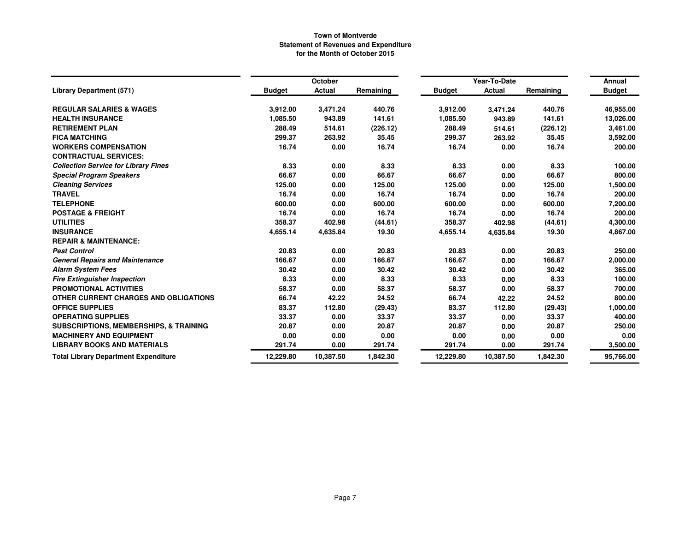|                                                   |               | October       |           |               | Year-To-Date  |           | Annual        |
|---------------------------------------------------|---------------|---------------|-----------|---------------|---------------|-----------|---------------|
| <b>Library Department (571)</b>                   | <b>Budget</b> | <b>Actual</b> | Remaining | <b>Budget</b> | <b>Actual</b> | Remaining | <b>Budget</b> |
| <b>REGULAR SALARIES &amp; WAGES</b>               | 3,912.00      | 3,471.24      | 440.76    | 3,912.00      | 3,471.24      | 440.76    | 46,955.00     |
| <b>HEALTH INSURANCE</b>                           | 1,085.50      | 943.89        | 141.61    | 1,085.50      | 943.89        | 141.61    | 13,026.00     |
| <b>RETIREMENT PLAN</b>                            | 288.49        | 514.61        | (226.12)  | 288.49        | 514.61        | (226.12)  | 3,461.00      |
| <b>FICA MATCHING</b>                              | 299.37        | 263.92        | 35.45     | 299.37        | 263.92        | 35.45     | 3,592.00      |
| <b>WORKERS COMPENSATION</b>                       | 16.74         | 0.00          | 16.74     | 16.74         | 0.00          | 16.74     | 200.00        |
| <b>CONTRACTUAL SERVICES:</b>                      |               |               |           |               |               |           |               |
| <b>Collection Service for Library Fines</b>       | 8.33          | 0.00          | 8.33      | 8.33          | 0.00          | 8.33      | 100.00        |
| <b>Special Program Speakers</b>                   | 66.67         | 0.00          | 66.67     | 66.67         | 0.00          | 66.67     | 800.00        |
| <b>Cleaning Services</b>                          | 125.00        | 0.00          | 125.00    | 125.00        | 0.00          | 125.00    | 1,500.00      |
| <b>TRAVEL</b>                                     | 16.74         | 0.00          | 16.74     | 16.74         | 0.00          | 16.74     | 200.00        |
| <b>TELEPHONE</b>                                  | 600.00        | 0.00          | 600.00    | 600.00        | 0.00          | 600.00    | 7,200.00      |
| <b>POSTAGE &amp; FREIGHT</b>                      | 16.74         | 0.00          | 16.74     | 16.74         | 0.00          | 16.74     | 200.00        |
| <b>UTILITIES</b>                                  | 358.37        | 402.98        | (44.61)   | 358.37        | 402.98        | (44.61)   | 4,300.00      |
| <b>INSURANCE</b>                                  | 4,655.14      | 4,635.84      | 19.30     | 4,655.14      | 4,635.84      | 19.30     | 4,867.00      |
| <b>REPAIR &amp; MAINTENANCE:</b>                  |               |               |           |               |               |           |               |
| <b>Pest Control</b>                               | 20.83         | 0.00          | 20.83     | 20.83         | 0.00          | 20.83     | 250.00        |
| <b>General Repairs and Maintenance</b>            | 166.67        | 0.00          | 166.67    | 166.67        | 0.00          | 166.67    | 2,000.00      |
| <b>Alarm System Fees</b>                          | 30.42         | 0.00          | 30.42     | 30.42         | 0.00          | 30.42     | 365.00        |
| <b>Fire Extinguisher Inspection</b>               | 8.33          | 0.00          | 8.33      | 8.33          | 0.00          | 8.33      | 100.00        |
| <b>PROMOTIONAL ACTIVITIES</b>                     | 58.37         | 0.00          | 58.37     | 58.37         | 0.00          | 58.37     | 700.00        |
| OTHER CURRENT CHARGES AND OBLIGATIONS             | 66.74         | 42.22         | 24.52     | 66.74         | 42.22         | 24.52     | 800.00        |
| <b>OFFICE SUPPLIES</b>                            | 83.37         | 112.80        | (29.43)   | 83.37         | 112.80        | (29.43)   | 1,000.00      |
| <b>OPERATING SUPPLIES</b>                         | 33.37         | 0.00          | 33.37     | 33.37         | 0.00          | 33.37     | 400.00        |
| <b>SUBSCRIPTIONS, MEMBERSHIPS, &amp; TRAINING</b> | 20.87         | 0.00          | 20.87     | 20.87         | 0.00          | 20.87     | 250.00        |
| <b>MACHINERY AND EQUIPMENT</b>                    | 0.00          | 0.00          | 0.00      | 0.00          | 0.00          | 0.00      | 0.00          |
| <b>LIBRARY BOOKS AND MATERIALS</b>                | 291.74        | 0.00          | 291.74    | 291.74        | 0.00          | 291.74    | 3,500.00      |
| <b>Total Library Department Expenditure</b>       | 12,229.80     | 10,387.50     | 1,842.30  | 12,229.80     | 10,387.50     | 1,842.30  | 95,766.00     |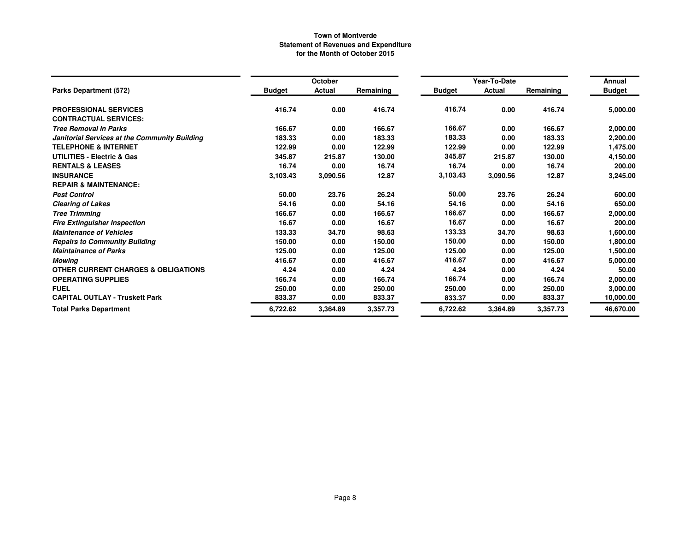|                                                |               | October  |           |               | Year-To-Date |           | Annual        |
|------------------------------------------------|---------------|----------|-----------|---------------|--------------|-----------|---------------|
| Parks Department (572)                         | <b>Budget</b> | Actual   | Remaining | <b>Budget</b> | Actual       | Remaining | <b>Budget</b> |
| <b>PROFESSIONAL SERVICES</b>                   | 416.74        | 0.00     | 416.74    | 416.74        | 0.00         | 416.74    | 5,000.00      |
| <b>CONTRACTUAL SERVICES:</b>                   |               |          |           |               |              |           |               |
| <b>Tree Removal in Parks</b>                   | 166.67        | 0.00     | 166.67    | 166.67        | 0.00         | 166.67    | 2,000.00      |
| Janitorial Services at the Community Building  | 183.33        | 0.00     | 183.33    | 183.33        | 0.00         | 183.33    | 2,200.00      |
| <b>TELEPHONE &amp; INTERNET</b>                | 122.99        | 0.00     | 122.99    | 122.99        | 0.00         | 122.99    | 1,475.00      |
| <b>UTILITIES - Electric &amp; Gas</b>          | 345.87        | 215.87   | 130.00    | 345.87        | 215.87       | 130.00    | 4,150.00      |
| <b>RENTALS &amp; LEASES</b>                    | 16.74         | 0.00     | 16.74     | 16.74         | 0.00         | 16.74     | 200.00        |
| <b>INSURANCE</b>                               | 3,103.43      | 3,090.56 | 12.87     | 3,103.43      | 3,090.56     | 12.87     | 3,245.00      |
| <b>REPAIR &amp; MAINTENANCE:</b>               |               |          |           |               |              |           |               |
| <b>Pest Control</b>                            | 50.00         | 23.76    | 26.24     | 50.00         | 23.76        | 26.24     | 600.00        |
| <b>Clearing of Lakes</b>                       | 54.16         | 0.00     | 54.16     | 54.16         | 0.00         | 54.16     | 650.00        |
| <b>Tree Trimming</b>                           | 166.67        | 0.00     | 166.67    | 166.67        | 0.00         | 166.67    | 2,000.00      |
| <b>Fire Extinguisher Inspection</b>            | 16.67         | 0.00     | 16.67     | 16.67         | 0.00         | 16.67     | 200.00        |
| <b>Maintenance of Vehicles</b>                 | 133.33        | 34.70    | 98.63     | 133.33        | 34.70        | 98.63     | 1,600.00      |
| <b>Repairs to Community Building</b>           | 150.00        | 0.00     | 150.00    | 150.00        | 0.00         | 150.00    | 1,800.00      |
| <b>Maintainance of Parks</b>                   | 125.00        | 0.00     | 125.00    | 125.00        | 0.00         | 125.00    | 1,500.00      |
| <b>Mowing</b>                                  | 416.67        | 0.00     | 416.67    | 416.67        | 0.00         | 416.67    | 5,000.00      |
| <b>OTHER CURRENT CHARGES &amp; OBLIGATIONS</b> | 4.24          | 0.00     | 4.24      | 4.24          | 0.00         | 4.24      | 50.00         |
| <b>OPERATING SUPPLIES</b>                      | 166.74        | 0.00     | 166.74    | 166.74        | 0.00         | 166.74    | 2,000.00      |
| <b>FUEL</b>                                    | 250.00        | 0.00     | 250.00    | 250.00        | 0.00         | 250.00    | 3,000.00      |
| <b>CAPITAL OUTLAY - Truskett Park</b>          | 833.37        | 0.00     | 833.37    | 833.37        | 0.00         | 833.37    | 10,000.00     |
| <b>Total Parks Department</b>                  | 6,722.62      | 3,364.89 | 3,357.73  | 6,722.62      | 3,364.89     | 3,357.73  | 46,670.00     |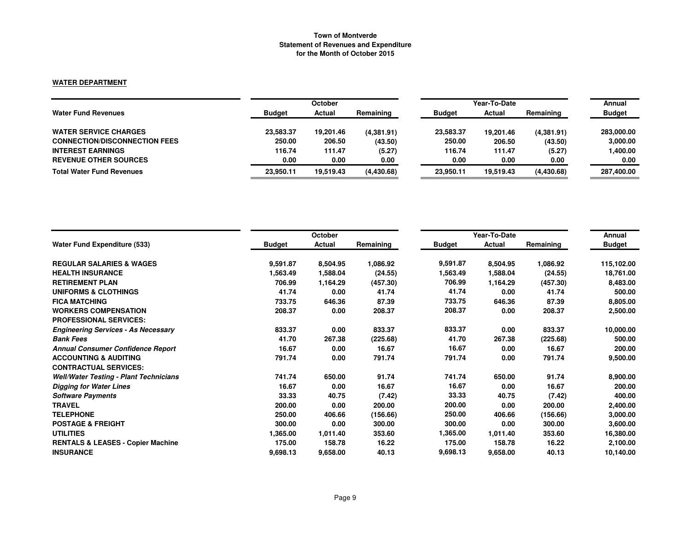#### **WATER DEPARTMENT**

|                                      | <b>October</b> |           |            | Year-To-Date  | Annual    |            |               |
|--------------------------------------|----------------|-----------|------------|---------------|-----------|------------|---------------|
| <b>Water Fund Revenues</b>           | <b>Budget</b>  | Actual    | Remaining  | <b>Budget</b> | Actual    | Remaining  | <b>Budget</b> |
| <b>WATER SERVICE CHARGES</b>         | 23,583.37      | 19,201.46 | (4,381.91) | 23,583.37     | 19.201.46 | (4,381.91) | 283,000.00    |
| <b>CONNECTION/DISCONNECTION FEES</b> | 250.00         | 206.50    | (43.50)    | 250.00        | 206.50    | (43.50)    | 3,000.00      |
| <b>INTEREST EARNINGS</b>             | 116.74         | 111.47    | (5.27)     | 116.74        | 111.47    | (5.27)     | 1,400.00      |
| <b>REVENUE OTHER SOURCES</b>         | 0.00           | 0.00      | 0.00       | 0.00          | 0.00      | 0.00       | 0.00          |
| <b>Total Water Fund Revenues</b>     | 23.950.11      | 19.519.43 | (4,430.68) | 23.950.11     | 19.519.43 | (4,430.68) | 287,400.00    |

|                                               |               | October  |           |               | Year-To-Date |           | Annual        |
|-----------------------------------------------|---------------|----------|-----------|---------------|--------------|-----------|---------------|
| <b>Water Fund Expenditure (533)</b>           | <b>Budget</b> | Actual   | Remaining | <b>Budget</b> | Actual       | Remaining | <b>Budget</b> |
| <b>REGULAR SALARIES &amp; WAGES</b>           | 9,591.87      | 8,504.95 | 1,086.92  | 9,591.87      | 8,504.95     | 1,086.92  | 115,102.00    |
| <b>HEALTH INSURANCE</b>                       | 1,563.49      | 1,588.04 | (24.55)   | 1,563.49      | 1,588.04     | (24.55)   | 18,761.00     |
| <b>RETIREMENT PLAN</b>                        | 706.99        | 1,164.29 | (457.30)  | 706.99        | 1,164.29     | (457.30)  | 8,483.00      |
| <b>UNIFORMS &amp; CLOTHINGS</b>               | 41.74         | 0.00     | 41.74     | 41.74         | 0.00         | 41.74     | 500.00        |
| <b>FICA MATCHING</b>                          | 733.75        | 646.36   | 87.39     | 733.75        | 646.36       | 87.39     | 8,805.00      |
| <b>WORKERS COMPENSATION</b>                   | 208.37        | 0.00     | 208.37    | 208.37        | 0.00         | 208.37    | 2,500.00      |
| <b>PROFESSIONAL SERVICES:</b>                 |               |          |           |               |              |           |               |
| <b>Engineering Services - As Necessary</b>    | 833.37        | 0.00     | 833.37    | 833.37        | 0.00         | 833.37    | 10,000.00     |
| <b>Bank Fees</b>                              | 41.70         | 267.38   | (225.68)  | 41.70         | 267.38       | (225.68)  | 500.00        |
| <b>Annual Consumer Confidence Report</b>      | 16.67         | 0.00     | 16.67     | 16.67         | 0.00         | 16.67     | 200.00        |
| <b>ACCOUNTING &amp; AUDITING</b>              | 791.74        | 0.00     | 791.74    | 791.74        | 0.00         | 791.74    | 9,500.00      |
| <b>CONTRACTUAL SERVICES:</b>                  |               |          |           |               |              |           |               |
| <b>Well/Water Testing - Plant Technicians</b> | 741.74        | 650.00   | 91.74     | 741.74        | 650.00       | 91.74     | 8,900.00      |
| <b>Digging for Water Lines</b>                | 16.67         | 0.00     | 16.67     | 16.67         | 0.00         | 16.67     | 200.00        |
| <b>Software Payments</b>                      | 33.33         | 40.75    | (7.42)    | 33.33         | 40.75        | (7.42)    | 400.00        |
| <b>TRAVEL</b>                                 | 200.00        | 0.00     | 200.00    | 200.00        | 0.00         | 200.00    | 2,400.00      |
| <b>TELEPHONE</b>                              | 250.00        | 406.66   | (156.66)  | 250.00        | 406.66       | (156.66)  | 3,000.00      |
| <b>POSTAGE &amp; FREIGHT</b>                  | 300.00        | 0.00     | 300.00    | 300.00        | 0.00         | 300.00    | 3,600.00      |
| <b>UTILITIES</b>                              | 1,365.00      | 1,011.40 | 353.60    | 1,365.00      | 1,011.40     | 353.60    | 16,380.00     |
| <b>RENTALS &amp; LEASES - Copier Machine</b>  | 175.00        | 158.78   | 16.22     | 175.00        | 158.78       | 16.22     | 2,100.00      |
| <b>INSURANCE</b>                              | 9,698.13      | 9,658.00 | 40.13     | 9,698.13      | 9,658.00     | 40.13     | 10,140.00     |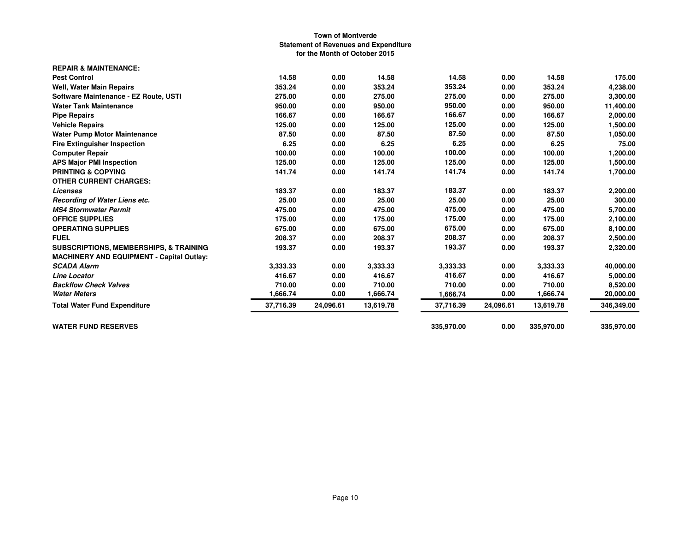| <b>REPAIR &amp; MAINTENANCE:</b>                  |           |           |           |            |           |            |            |
|---------------------------------------------------|-----------|-----------|-----------|------------|-----------|------------|------------|
| <b>Pest Control</b>                               | 14.58     | 0.00      | 14.58     | 14.58      | 0.00      | 14.58      | 175.00     |
| <b>Well, Water Main Repairs</b>                   | 353.24    | 0.00      | 353.24    | 353.24     | 0.00      | 353.24     | 4,238.00   |
| Software Maintenance - EZ Route, USTI             | 275.00    | 0.00      | 275.00    | 275.00     | 0.00      | 275.00     | 3,300.00   |
| <b>Water Tank Maintenance</b>                     | 950.00    | 0.00      | 950.00    | 950.00     | 0.00      | 950.00     | 11,400.00  |
| <b>Pipe Repairs</b>                               | 166.67    | 0.00      | 166.67    | 166.67     | 0.00      | 166.67     | 2,000.00   |
| <b>Vehicle Repairs</b>                            | 125.00    | 0.00      | 125.00    | 125.00     | 0.00      | 125.00     | 1,500.00   |
| <b>Water Pump Motor Maintenance</b>               | 87.50     | 0.00      | 87.50     | 87.50      | 0.00      | 87.50      | 1,050.00   |
| <b>Fire Extinguisher Inspection</b>               | 6.25      | 0.00      | 6.25      | 6.25       | 0.00      | 6.25       | 75.00      |
| <b>Computer Repair</b>                            | 100.00    | 0.00      | 100.00    | 100.00     | 0.00      | 100.00     | 1,200.00   |
| <b>APS Major PMI Inspection</b>                   | 125.00    | 0.00      | 125.00    | 125.00     | 0.00      | 125.00     | 1,500.00   |
| <b>PRINTING &amp; COPYING</b>                     | 141.74    | 0.00      | 141.74    | 141.74     | 0.00      | 141.74     | 1,700.00   |
| <b>OTHER CURRENT CHARGES:</b>                     |           |           |           |            |           |            |            |
| Licenses                                          | 183.37    | 0.00      | 183.37    | 183.37     | 0.00      | 183.37     | 2,200.00   |
| Recording of Water Liens etc.                     | 25.00     | 0.00      | 25.00     | 25.00      | 0.00      | 25.00      | 300.00     |
| <b>MS4 Stormwater Permit</b>                      | 475.00    | 0.00      | 475.00    | 475.00     | 0.00      | 475.00     | 5,700.00   |
| <b>OFFICE SUPPLIES</b>                            | 175.00    | 0.00      | 175.00    | 175.00     | 0.00      | 175.00     | 2,100.00   |
| <b>OPERATING SUPPLIES</b>                         | 675.00    | 0.00      | 675.00    | 675.00     | 0.00      | 675.00     | 8,100.00   |
| <b>FUEL</b>                                       | 208.37    | 0.00      | 208.37    | 208.37     | 0.00      | 208.37     | 2,500.00   |
| <b>SUBSCRIPTIONS, MEMBERSHIPS, &amp; TRAINING</b> | 193.37    | 0.00      | 193.37    | 193.37     | 0.00      | 193.37     | 2,320.00   |
| <b>MACHINERY AND EQUIPMENT - Capital Outlay:</b>  |           |           |           |            |           |            |            |
| <b>SCADA Alarm</b>                                | 3,333.33  | 0.00      | 3,333.33  | 3,333.33   | 0.00      | 3,333.33   | 40,000.00  |
| <b>Line Locator</b>                               | 416.67    | 0.00      | 416.67    | 416.67     | 0.00      | 416.67     | 5,000.00   |
| <b>Backflow Check Valves</b>                      | 710.00    | 0.00      | 710.00    | 710.00     | 0.00      | 710.00     | 8,520.00   |
| <b>Water Meters</b>                               | 1,666.74  | 0.00      | 1,666.74  | 1,666.74   | 0.00      | 1,666.74   | 20,000.00  |
| <b>Total Water Fund Expenditure</b>               | 37,716.39 | 24,096.61 | 13,619.78 | 37,716.39  | 24,096.61 | 13,619.78  | 346,349.00 |
| <b>WATER FUND RESERVES</b>                        |           |           |           | 335,970.00 | 0.00      | 335,970.00 | 335,970.00 |